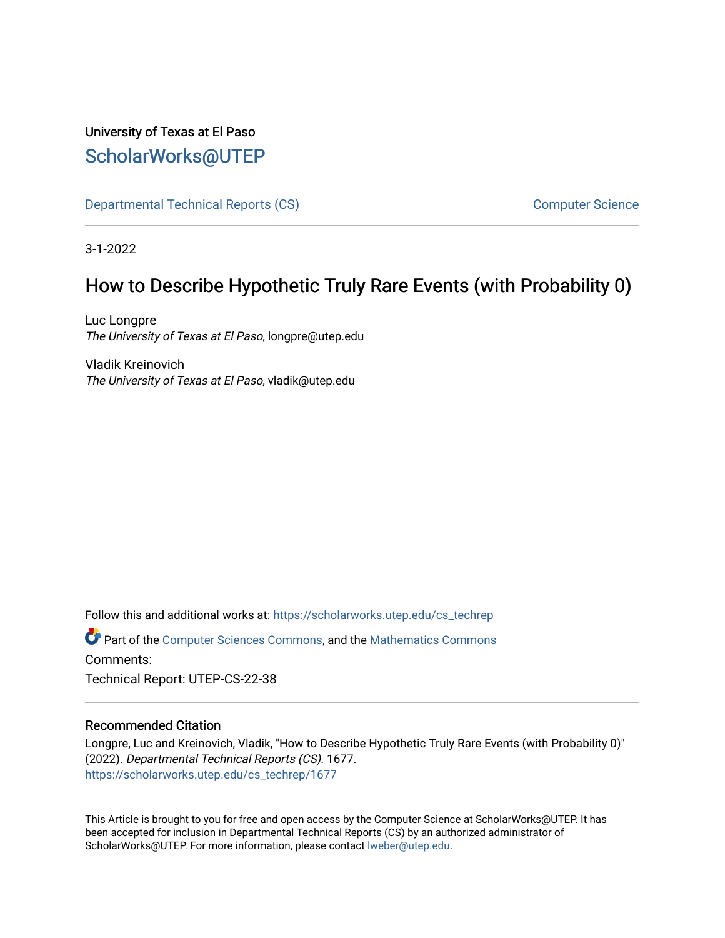# University of Texas at El Paso [ScholarWorks@UTEP](https://scholarworks.utep.edu/)

[Departmental Technical Reports \(CS\)](https://scholarworks.utep.edu/cs_techrep) [Computer Science](https://scholarworks.utep.edu/computer) 

3-1-2022

# How to Describe Hypothetic Truly Rare Events (with Probability 0)

Luc Longpre The University of Texas at El Paso, longpre@utep.edu

Vladik Kreinovich The University of Texas at El Paso, vladik@utep.edu

Follow this and additional works at: [https://scholarworks.utep.edu/cs\\_techrep](https://scholarworks.utep.edu/cs_techrep?utm_source=scholarworks.utep.edu%2Fcs_techrep%2F1677&utm_medium=PDF&utm_campaign=PDFCoverPages) 

Part of the [Computer Sciences Commons](http://network.bepress.com/hgg/discipline/142?utm_source=scholarworks.utep.edu%2Fcs_techrep%2F1677&utm_medium=PDF&utm_campaign=PDFCoverPages), and the [Mathematics Commons](http://network.bepress.com/hgg/discipline/174?utm_source=scholarworks.utep.edu%2Fcs_techrep%2F1677&utm_medium=PDF&utm_campaign=PDFCoverPages)  Comments:

Technical Report: UTEP-CS-22-38

### Recommended Citation

Longpre, Luc and Kreinovich, Vladik, "How to Describe Hypothetic Truly Rare Events (with Probability 0)" (2022). Departmental Technical Reports (CS). 1677. [https://scholarworks.utep.edu/cs\\_techrep/1677](https://scholarworks.utep.edu/cs_techrep/1677?utm_source=scholarworks.utep.edu%2Fcs_techrep%2F1677&utm_medium=PDF&utm_campaign=PDFCoverPages) 

This Article is brought to you for free and open access by the Computer Science at ScholarWorks@UTEP. It has been accepted for inclusion in Departmental Technical Reports (CS) by an authorized administrator of ScholarWorks@UTEP. For more information, please contact [lweber@utep.edu](mailto:lweber@utep.edu).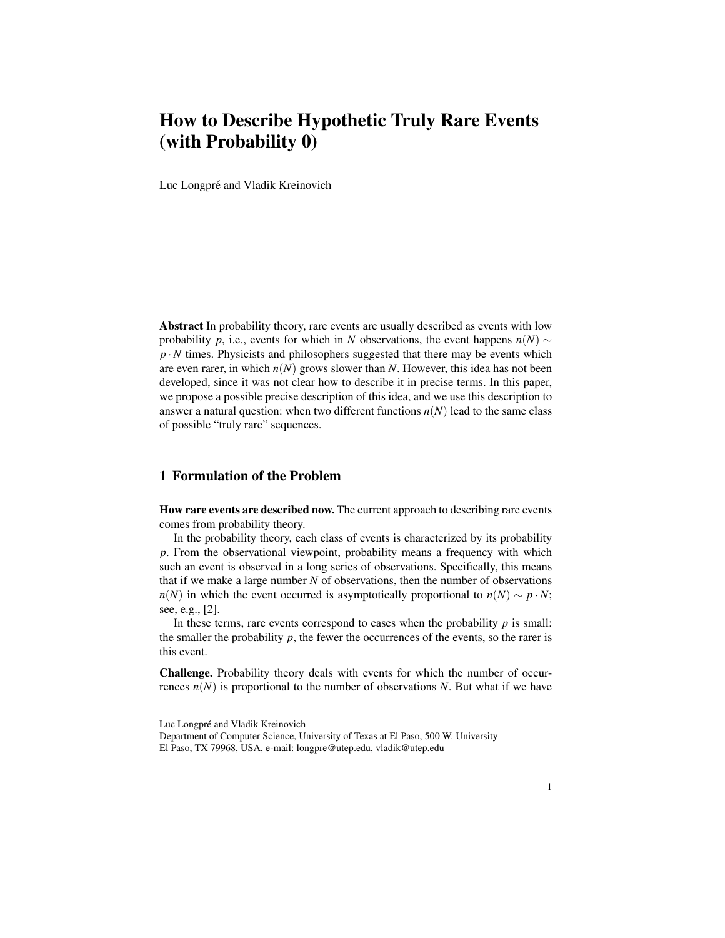# How to Describe Hypothetic Truly Rare Events (with Probability 0)

Luc Longpré and Vladik Kreinovich

Abstract In probability theory, rare events are usually described as events with low probability *p*, i.e., events for which in *N* observations, the event happens  $n(N) \sim$  $p \cdot N$  times. Physicists and philosophers suggested that there may be events which are even rarer, in which  $n(N)$  grows slower than N. However, this idea has not been developed, since it was not clear how to describe it in precise terms. In this paper, we propose a possible precise description of this idea, and we use this description to answer a natural question: when two different functions  $n(N)$  lead to the same class of possible "truly rare" sequences.

### 1 Formulation of the Problem

How rare events are described now. The current approach to describing rare events comes from probability theory.

In the probability theory, each class of events is characterized by its probability *p*. From the observational viewpoint, probability means a frequency with which such an event is observed in a long series of observations. Specifically, this means that if we make a large number *N* of observations, then the number of observations *n*(*N*) in which the event occurred is asymptotically proportional to *n*(*N*) ~ *p* · *N*; see, e.g., [2].

In these terms, rare events correspond to cases when the probability  $p$  is small: the smaller the probability  $p$ , the fewer the occurrences of the events, so the rarer is this event.

Challenge. Probability theory deals with events for which the number of occurrences  $n(N)$  is proportional to the number of observations N. But what if we have

Luc Longpré and Vladik Kreinovich

Department of Computer Science, University of Texas at El Paso, 500 W. University El Paso, TX 79968, USA, e-mail: longpre@utep.edu, vladik@utep.edu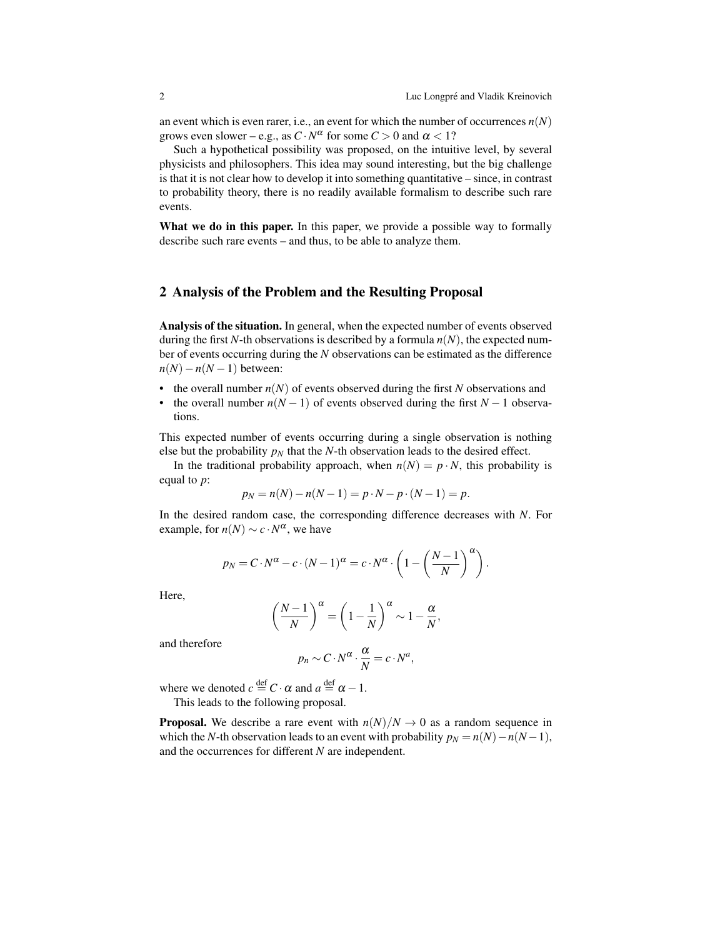an event which is even rarer, i.e., an event for which the number of occurrences  $n(N)$ grows even slower – e.g., as  $C \cdot N^{\alpha}$  for some  $C > 0$  and  $\alpha < 1$ ?

Such a hypothetical possibility was proposed, on the intuitive level, by several physicists and philosophers. This idea may sound interesting, but the big challenge is that it is not clear how to develop it into something quantitative – since, in contrast to probability theory, there is no readily available formalism to describe such rare events.

What we do in this paper. In this paper, we provide a possible way to formally describe such rare events – and thus, to be able to analyze them.

#### 2 Analysis of the Problem and the Resulting Proposal

Analysis of the situation. In general, when the expected number of events observed during the first *N*-th observations is described by a formula  $n(N)$ , the expected number of events occurring during the *N* observations can be estimated as the difference  $n(N) - n(N-1)$  between:

- the overall number  $n(N)$  of events observed during the first *N* observations and
- the overall number  $n(N-1)$  of events observed during the first  $N-1$  observations.

This expected number of events occurring during a single observation is nothing else but the probability  $p_N$  that the *N*-th observation leads to the desired effect.

In the traditional probability approach, when  $n(N) = p \cdot N$ , this probability is equal to *p*:

$$
p_N = n(N) - n(N-1) = p \cdot N - p \cdot (N-1) = p.
$$

In the desired random case, the corresponding difference decreases with *N*. For example, for  $n(N) \sim c \cdot N^{\alpha}$ , we have

$$
p_N = C \cdot N^{\alpha} - c \cdot (N-1)^{\alpha} = c \cdot N^{\alpha} \cdot \left(1 - \left(\frac{N-1}{N}\right)^{\alpha}\right).
$$

Here,

$$
\left(\frac{N-1}{N}\right)^{\alpha} = \left(1 - \frac{1}{N}\right)^{\alpha} \sim 1 - \frac{\alpha}{N},
$$

and therefore

$$
p_n \sim C \cdot N^{\alpha} \cdot \frac{\alpha}{N} = c \cdot N^a,
$$

where we denoted  $c \stackrel{\text{def}}{=} C \cdot \alpha$  and  $a \stackrel{\text{def}}{=} \alpha - 1$ .

This leads to the following proposal.

**Proposal.** We describe a rare event with  $n(N)/N \rightarrow 0$  as a random sequence in which the *N*-th observation leads to an event with probability  $p_N = n(N) - n(N-1)$ , and the occurrences for different *N* are independent.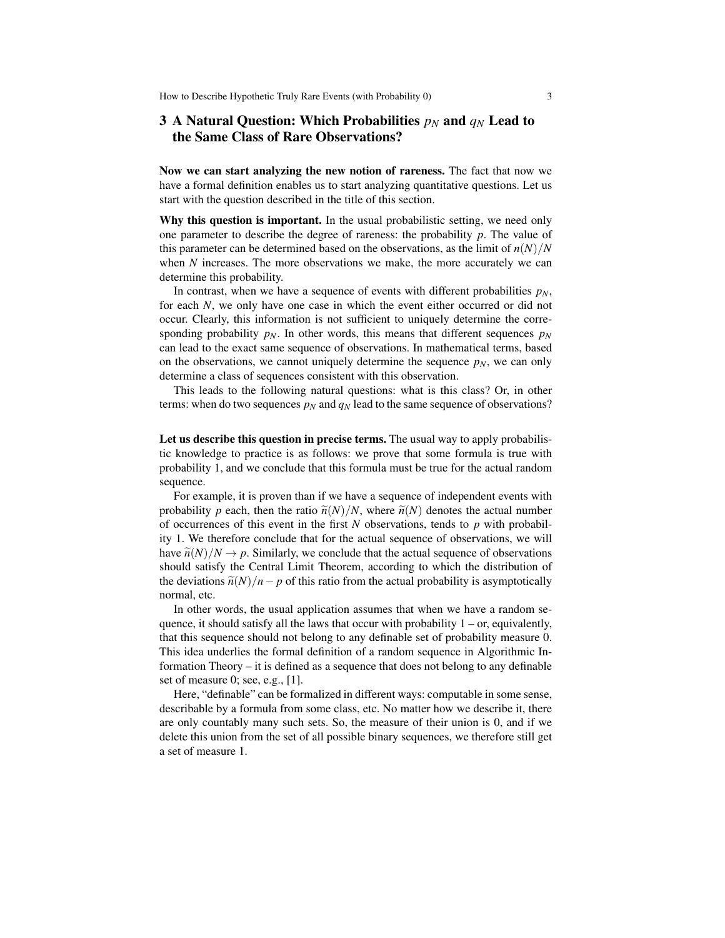### 3 A Natural Question: Which Probabilities  $p_N$  and  $q_N$  Lead to the Same Class of Rare Observations?

Now we can start analyzing the new notion of rareness. The fact that now we have a formal definition enables us to start analyzing quantitative questions. Let us start with the question described in the title of this section.

Why this question is important. In the usual probabilistic setting, we need only one parameter to describe the degree of rareness: the probability *p*. The value of this parameter can be determined based on the observations, as the limit of  $n(N)/N$ when *N* increases. The more observations we make, the more accurately we can determine this probability.

In contrast, when we have a sequence of events with different probabilities  $p<sub>N</sub>$ , for each *N*, we only have one case in which the event either occurred or did not occur. Clearly, this information is not sufficient to uniquely determine the corresponding probability  $p_N$ . In other words, this means that different sequences  $p_N$ can lead to the exact same sequence of observations. In mathematical terms, based on the observations, we cannot uniquely determine the sequence  $p_N$ , we can only determine a class of sequences consistent with this observation.

This leads to the following natural questions: what is this class? Or, in other terms: when do two sequences  $p_N$  and  $q_N$  lead to the same sequence of observations?

Let us describe this question in precise terms. The usual way to apply probabilistic knowledge to practice is as follows: we prove that some formula is true with probability 1, and we conclude that this formula must be true for the actual random sequence.

For example, it is proven than if we have a sequence of independent events with probability *p* each, then the ratio  $\tilde{n}(N)/N$ , where  $\tilde{n}(N)$  denotes the actual number of occurrences of this event in the first *N* observations, tends to *p* with probability 1. We therefore conclude that for the actual sequence of observations, we will have  $\tilde{n}(N)/N \rightarrow p$ . Similarly, we conclude that the actual sequence of observations should satisfy the Central Limit Theorem, according to which the distribution of the deviations  $\tilde{n}(N)/n - p$  of this ratio from the actual probability is asymptotically normal, etc.

In other words, the usual application assumes that when we have a random sequence, it should satisfy all the laws that occur with probability  $1 - or$ , equivalently, that this sequence should not belong to any definable set of probability measure 0. This idea underlies the formal definition of a random sequence in Algorithmic Information Theory – it is defined as a sequence that does not belong to any definable set of measure 0; see, e.g., [1].

Here, "definable" can be formalized in different ways: computable in some sense, describable by a formula from some class, etc. No matter how we describe it, there are only countably many such sets. So, the measure of their union is 0, and if we delete this union from the set of all possible binary sequences, we therefore still get a set of measure 1.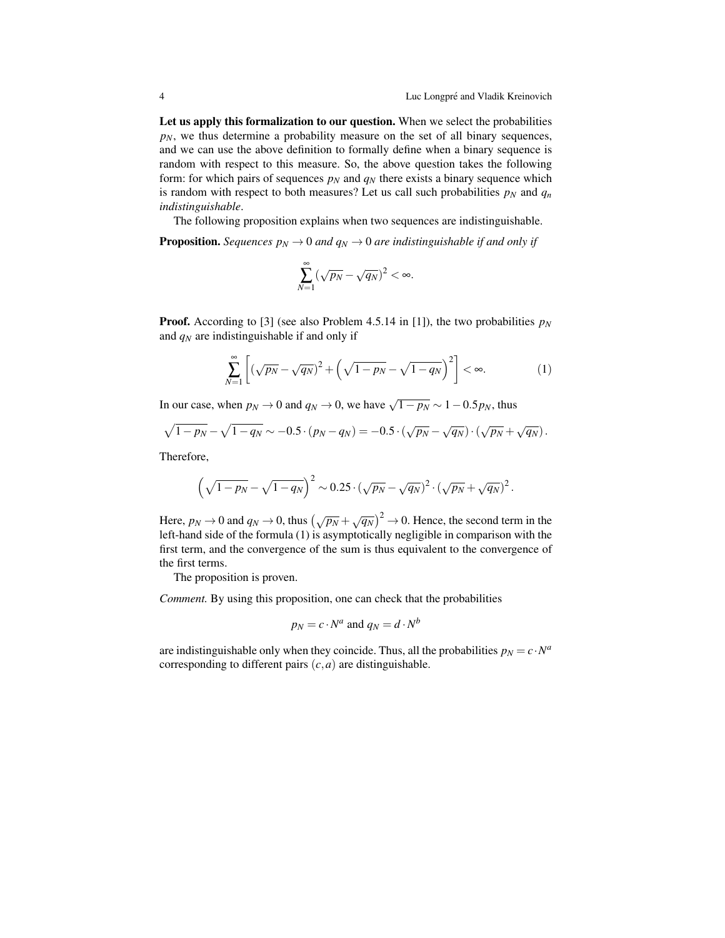Let us apply this formalization to our question. When we select the probabilities  $p_N$ , we thus determine a probability measure on the set of all binary sequences, and we can use the above definition to formally define when a binary sequence is random with respect to this measure. So, the above question takes the following form: for which pairs of sequences  $p_N$  and  $q_N$  there exists a binary sequence which is random with respect to both measures? Let us call such probabilities  $p<sub>N</sub>$  and  $q<sub>n</sub>$ *indistinguishable*.

The following proposition explains when two sequences are indistinguishable.

**Proposition.** *Sequences*  $p_N \to 0$  *and*  $q_N \to 0$  *are indistinguishable if and only if* 

$$
\sum_{N=1}^{\infty} (\sqrt{p_N} - \sqrt{q_N})^2 < \infty.
$$

**Proof.** According to [3] (see also Problem 4.5.14 in [1]), the two probabilities  $p_N$ and *q<sup>N</sup>* are indistinguishable if and only if

$$
\sum_{N=1}^{\infty} \left[ \left( \sqrt{p_N} - \sqrt{q_N} \right)^2 + \left( \sqrt{1 - p_N} - \sqrt{1 - q_N} \right)^2 \right] < \infty. \tag{1}
$$

In our case, when  $p_N \to 0$  and  $q_N \to 0$ , we have  $\sqrt{1-p_N} \sim 1-0.5p_N$ , thus

$$
\sqrt{1 - p_N} - \sqrt{1 - q_N} \sim -0.5 \cdot (p_N - q_N) = -0.5 \cdot (\sqrt{p_N} - \sqrt{q_N}) \cdot (\sqrt{p_N} + \sqrt{q_N}).
$$

Therefore,

$$
\left(\sqrt{1-p_N}-\sqrt{1-q_N}\right)^2\sim 0.25\cdot\left(\sqrt{p_N}-\sqrt{q_N}\right)^2\cdot\left(\sqrt{p_N}+\sqrt{q_N}\right)^2.
$$

Here,  $p_N \to 0$  and  $q_N \to 0$ , thus  $(\sqrt{p_N} + \sqrt{q_N})^2 \to 0$ . Hence, the second term in the left-hand side of the formula (1) is asymptotically negligible in comparison with the first term, and the convergence of the sum is thus equivalent to the convergence of the first terms.

The proposition is proven.

*Comment.* By using this proposition, one can check that the probabilities

$$
p_N = c \cdot N^a \text{ and } q_N = d \cdot N^b
$$

are indistinguishable only when they coincide. Thus, all the probabilities  $p_N = c \cdot N^a$ corresponding to different pairs (*c*,*a*) are distinguishable.